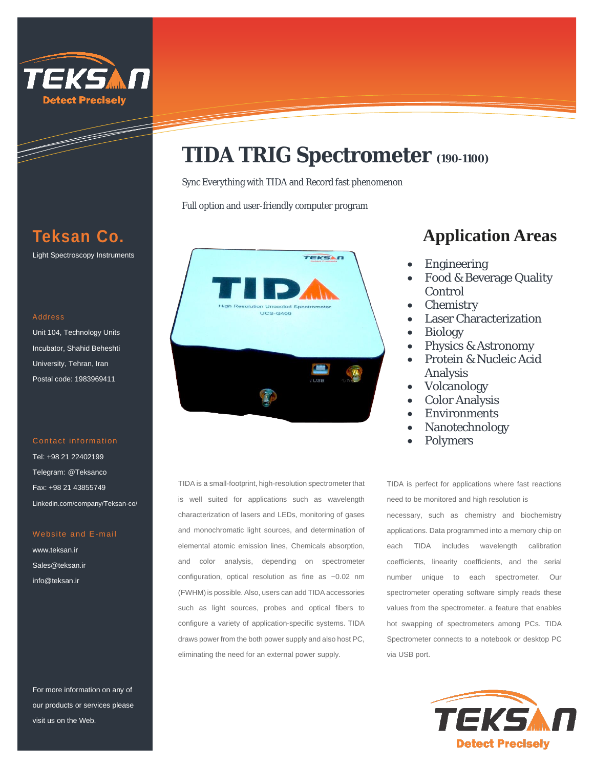

## **Teksan Co.**

Light Spectroscopy Instruments

### Address

Unit 104, Technology Units Incubator, Shahid Beheshti University, Tehran, Iran Postal code: 1983969411

#### Contact information

Tel: +98 21 22402199 Telegram: @Teksanco Fax: +98 21 43855749 Linkedin.com/company/Teksan-co/

### Website and E-mail

www.teksan.ir Sales@teksan.ir info@teksan.ir

For more information on any of our products or services please visit us on the Web.

# **TIDA TRIG Spectrometer (190-1100)**

Sync Everything with TIDA and Record fast phenomenon

Full option and user-friendly computer program



TIDA is a small-footprint, high-resolution spectrometer that is well suited for applications such as wavelength characterization of lasers and LEDs, monitoring of gases and monochromatic light sources, and determination of elemental atomic emission lines, Chemicals absorption, and color analysis, depending on spectrometer configuration, optical resolution as fine as ~0.02 nm (FWHM) is possible. Also, users can add TIDA accessories such as light sources, probes and optical fibers to configure a variety of application-specific systems. TIDA draws power from the both power supply and also host PC, eliminating the need for an external power supply.

## **Application Areas**

- Engineering
- Food & Beverage Quality Control
- Chemistry
- Laser Characterization
- Biology
- Physics & Astronomy
- Protein & Nucleic Acid Analysis
- Volcanology
- Color Analysis
- Environments
- Nanotechnology
- Polymers

TIDA is perfect for applications where fast reactions need to be monitored and high resolution is

necessary, such as chemistry and biochemistry applications. Data programmed into a memory chip on each TIDA includes wavelength calibration coefficients, linearity coefficients, and the serial number unique to each spectrometer. Our spectrometer operating software simply reads these values from the spectrometer. a feature that enables hot swapping of spectrometers among PCs. TIDA Spectrometer connects to a notebook or desktop PC via USB port.